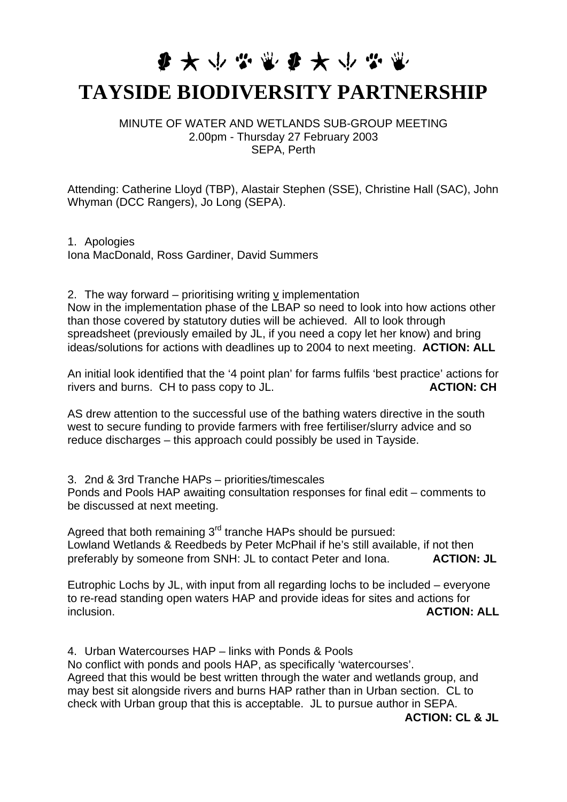## **要大小心需要大小心需**

## **TAYSIDE BIODIVERSITY PARTNERSHIP**

MINUTE OF WATER AND WETLANDS SUB-GROUP MEETING 2.00pm - Thursday 27 February 2003 SEPA, Perth

Attending: Catherine Lloyd (TBP), Alastair Stephen (SSE), Christine Hall (SAC), John Whyman (DCC Rangers), Jo Long (SEPA).

1. Apologies Iona MacDonald, Ross Gardiner, David Summers

2. The way forward – prioritising writing v implementation

Now in the implementation phase of the LBAP so need to look into how actions other than those covered by statutory duties will be achieved. All to look through spreadsheet (previously emailed by JL, if you need a copy let her know) and bring ideas/solutions for actions with deadlines up to 2004 to next meeting. **ACTION: ALL** 

An initial look identified that the '4 point plan' for farms fulfils 'best practice' actions for rivers and burns. CH to pass copy to JL. **ACTION: CH** 

AS drew attention to the successful use of the bathing waters directive in the south west to secure funding to provide farmers with free fertiliser/slurry advice and so reduce discharges – this approach could possibly be used in Tayside.

3. 2nd & 3rd Tranche HAPs – priorities/timescales Ponds and Pools HAP awaiting consultation responses for final edit – comments to be discussed at next meeting.

Agreed that both remaining 3<sup>rd</sup> tranche HAPs should be pursued: Lowland Wetlands & Reedbeds by Peter McPhail if he's still available, if not then preferably by someone from SNH: JL to contact Peter and Iona. **ACTION: JL** 

Eutrophic Lochs by JL, with input from all regarding lochs to be included – everyone to re-read standing open waters HAP and provide ideas for sites and actions for inclusion. **ACTION: ALL**

4. Urban Watercourses HAP – links with Ponds & Pools No conflict with ponds and pools HAP, as specifically 'watercourses'. Agreed that this would be best written through the water and wetlands group, and may best sit alongside rivers and burns HAP rather than in Urban section. CL to check with Urban group that this is acceptable. JL to pursue author in SEPA.

**ACTION: CL & JL**